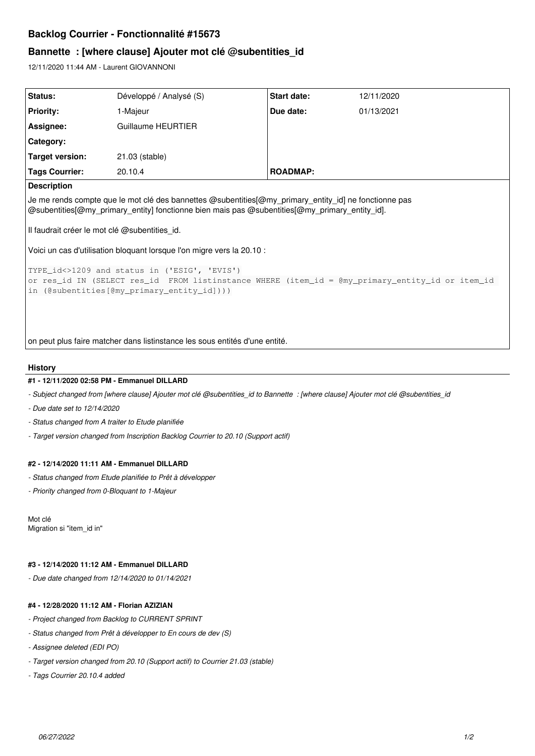# **Backlog Courrier - Fonctionnalité #15673**

# **Bannette : [where clause] Ajouter mot clé @subentities\_id**

12/11/2020 11:44 AM - Laurent GIOVANNONI

| Status:                                                                                                                                                                                                 | Développé / Analysé (S) | Start date:     | 12/11/2020 |
|---------------------------------------------------------------------------------------------------------------------------------------------------------------------------------------------------------|-------------------------|-----------------|------------|
| <b>Priority:</b>                                                                                                                                                                                        | 1-Majeur                | Due date:       | 01/13/2021 |
| Assignee:                                                                                                                                                                                               | Guillaume HEURTIER      |                 |            |
| Category:                                                                                                                                                                                               |                         |                 |            |
| Target version:                                                                                                                                                                                         | 21.03 (stable)          |                 |            |
| <b>Tags Courrier:</b>                                                                                                                                                                                   | 20.10.4                 | <b>ROADMAP:</b> |            |
| <b>Description</b>                                                                                                                                                                                      |                         |                 |            |
| Je me rends compte que le mot clé des bannettes @subentities[@my primary entity id] ne fonctionne pas<br>@subentities[@my_primary_entity] fonctionne bien mais pas @subentities[@my_primary_entity_id]. |                         |                 |            |
| Il faudrait créer le mot clé @subentities_id.                                                                                                                                                           |                         |                 |            |
| Voici un cas d'utilisation bloquant lorsque l'on migre vers la 20.10 :                                                                                                                                  |                         |                 |            |
| TYPE_id<>1209 and status in ('ESIG', 'EVIS')<br>or res_id IN (SELECT res_id FROM listinstance WHERE (item_id = @my_primary_entity_id or item_id<br>in (@subentities[@my_primary_entity_id])))           |                         |                 |            |

on peut plus faire matcher dans listinstance les sous entités d'une entité.

## **History**

#### **#1 - 12/11/2020 02:58 PM - Emmanuel DILLARD**

*- Subject changed from [where clause] Ajouter mot clé @subentities\_id to Bannette : [where clause] Ajouter mot clé @subentities\_id*

- *Due date set to 12/14/2020*
- *Status changed from A traiter to Etude planifiée*
- *Target version changed from Inscription Backlog Courrier to 20.10 (Support actif)*

#### **#2 - 12/14/2020 11:11 AM - Emmanuel DILLARD**

- *Status changed from Etude planifiée to Prêt à développer*
- *Priority changed from 0-Bloquant to 1-Majeur*

Mot clé Migration si "item\_id in"

## **#3 - 12/14/2020 11:12 AM - Emmanuel DILLARD**

*- Due date changed from 12/14/2020 to 01/14/2021*

### **#4 - 12/28/2020 11:12 AM - Florian AZIZIAN**

- *Project changed from Backlog to CURRENT SPRINT*
- *Status changed from Prêt à développer to En cours de dev (S)*
- *Assignee deleted (EDI PO)*
- *Target version changed from 20.10 (Support actif) to Courrier 21.03 (stable)*
- *Tags Courrier 20.10.4 added*